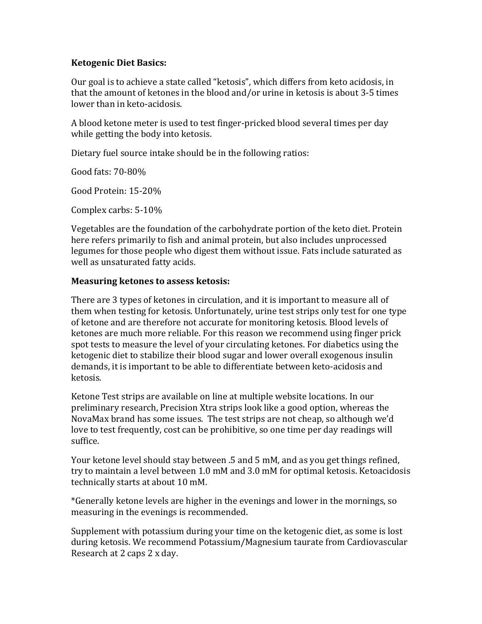# **Ketogenic Diet Basics:**

Our goal is to achieve a state called "ketosis", which differs from keto acidosis, in that the amount of ketones in the blood and/or urine in ketosis is about 3-5 times lower than in keto-acidosis.

A blood ketone meter is used to test finger-pricked blood several times per day while getting the body into ketosis.

Dietary fuel source intake should be in the following ratios:

Good fats:  $70-80%$ 

Good Protein: 15-20%

Complex carbs: 5-10%

Vegetables are the foundation of the carbohydrate portion of the keto diet. Protein here refers primarily to fish and animal protein, but also includes unprocessed legumes for those people who digest them without issue. Fats include saturated as well as unsaturated fatty acids.

# **Measuring ketones to assess ketosis:**

There are 3 types of ketones in circulation, and it is important to measure all of them when testing for ketosis. Unfortunately, urine test strips only test for one type of ketone and are therefore not accurate for monitoring ketosis. Blood levels of ketones are much more reliable. For this reason we recommend using finger prick spot tests to measure the level of your circulating ketones. For diabetics using the ketogenic diet to stabilize their blood sugar and lower overall exogenous insulin demands, it is important to be able to differentiate between keto-acidosis and ketosis. 

Ketone Test strips are available on line at multiple website locations. In our preliminary research, Precision Xtra strips look like a good option, whereas the NovaMax brand has some issues. The test strips are not cheap, so although we'd love to test frequently, cost can be prohibitive, so one time per day readings will suffice. 

Your ketone level should stay between .5 and 5 mM, and as you get things refined, try to maintain a level between 1.0 mM and 3.0 mM for optimal ketosis. Ketoacidosis technically starts at about 10 mM.

\*Generally ketone levels are higher in the evenings and lower in the mornings, so measuring in the evenings is recommended.

Supplement with potassium during your time on the ketogenic diet, as some is lost during ketosis. We recommend Potassium/Magnesium taurate from Cardiovascular Research at 2 caps 2 x day.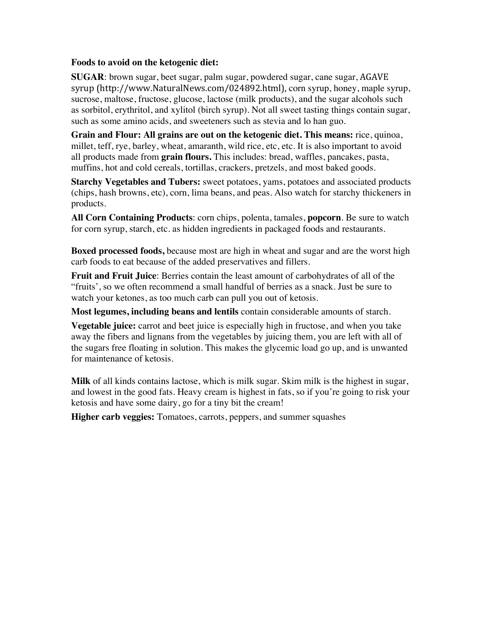### **Foods to avoid on the ketogenic diet:**

**SUGAR**: brown sugar, beet sugar, palm sugar, powdered sugar, cane sugar, AGAVE syrup (http://www.NaturalNews.com/024892.html), corn syrup, honey, maple syrup, sucrose, maltose, fructose, glucose, lactose (milk products), and the sugar alcohols such as sorbitol, erythritol, and xylitol (birch syrup). Not all sweet tasting things contain sugar, such as some amino acids, and sweeteners such as stevia and lo han guo.

**Grain and Flour: All grains are out on the ketogenic diet. This means:** rice, quinoa, millet, teff, rye, barley, wheat, amaranth, wild rice, etc, etc. It is also important to avoid all products made from **grain flours.** This includes: bread, waffles, pancakes, pasta, muffins, hot and cold cereals, tortillas, crackers, pretzels, and most baked goods.

**Starchy Vegetables and Tubers:** sweet potatoes, yams, potatoes and associated products (chips, hash browns, etc), corn, lima beans, and peas. Also watch for starchy thickeners in products.

**All Corn Containing Products**: corn chips, polenta, tamales, **popcorn**. Be sure to watch for corn syrup, starch, etc. as hidden ingredients in packaged foods and restaurants.

**Boxed processed foods,** because most are high in wheat and sugar and are the worst high carb foods to eat because of the added preservatives and fillers.

**Fruit and Fruit Juice**: Berries contain the least amount of carbohydrates of all of the "fruits', so we often recommend a small handful of berries as a snack. Just be sure to watch your ketones, as too much carb can pull you out of ketosis.

**Most legumes, including beans and lentils** contain considerable amounts of starch.

**Vegetable juice:** carrot and beet juice is especially high in fructose, and when you take away the fibers and lignans from the vegetables by juicing them, you are left with all of the sugars free floating in solution. This makes the glycemic load go up, and is unwanted for maintenance of ketosis.

**Milk** of all kinds contains lactose, which is milk sugar. Skim milk is the highest in sugar, and lowest in the good fats. Heavy cream is highest in fats, so if you're going to risk your ketosis and have some dairy, go for a tiny bit the cream!

**Higher carb veggies:** Tomatoes, carrots, peppers, and summer squashes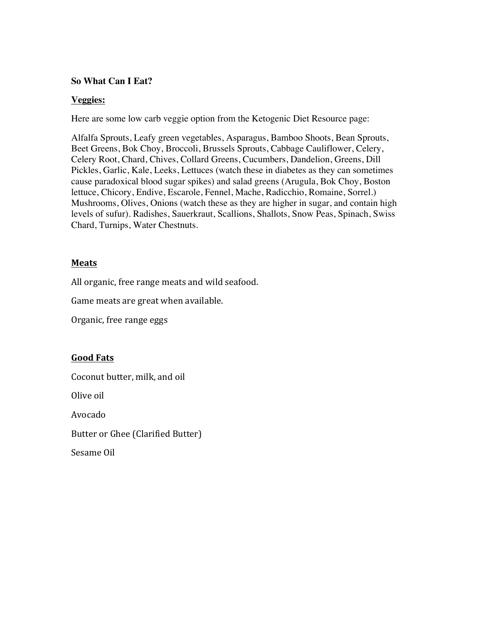### **So What Can I Eat?**

### **Veggies:**

Here are some low carb veggie option from the Ketogenic Diet Resource page:

Alfalfa Sprouts, Leafy green vegetables, Asparagus, Bamboo Shoots, Bean Sprouts, Beet Greens, Bok Choy, Broccoli, Brussels Sprouts, Cabbage Cauliflower, Celery, Celery Root, Chard, Chives, Collard Greens, Cucumbers, Dandelion, Greens, Dill Pickles, Garlic, Kale, Leeks, Lettuces (watch these in diabetes as they can sometimes cause paradoxical blood sugar spikes) and salad greens (Arugula, Bok Choy, Boston lettuce, Chicory, Endive, Escarole, Fennel, Mache, Radicchio, Romaine, Sorrel.) Mushrooms, Olives, Onions (watch these as they are higher in sugar, and contain high levels of sufur). Radishes, Sauerkraut, Scallions, Shallots, Snow Peas, Spinach, Swiss Chard, Turnips, Water Chestnuts.

# **Meats**

All organic, free range meats and wild seafood.

Game meats are great when available.

Organic, free range eggs

# **Good Fats**

Coconut butter, milk, and oil

Olive oil

Avocado

Butter or Ghee (Clarified Butter)

Sesame Oil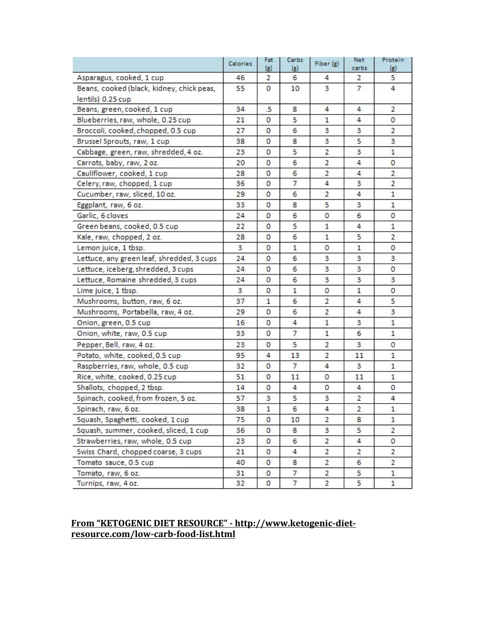|                                           | <b>Calories</b> | Fat<br>$\left( g\right)$ | Carbs<br>(g)   | Fiber (g)      | Net<br>carbs   | Protein<br>(g) |
|-------------------------------------------|-----------------|--------------------------|----------------|----------------|----------------|----------------|
| Asparagus, cooked, 1 cup                  | 46              | $\overline{2}$           | 6              | 4              | 2              | 5              |
| Beans, cooked (black, kidney, chick peas, | 55              | $\mathbf{O}$             | 10             | 3              | $\overline{7}$ | $\overline{4}$ |
| lentils) 0.25 cup                         |                 |                          |                |                |                |                |
| Beans, green, cooked, 1 cup               | 34              | .5                       | 8              | 4              | 4              | 2              |
| Blueberries, raw, whole, 0.25 cup         | 21              | $\circ$                  | 5              | 1              | 4              | 0              |
| Broccoli, cooked, chopped, 0.5 cup        | 27              | $\circ$                  | 6              | 3              | 3              | 2              |
| Brussel Sprouts, raw, 1 cup               | 38              | $\circ$                  | 8              | 3              | 5              | 3              |
| Cabbage, green, raw, shredded, 4 oz.      | 23              | $\circ$                  | 5              | $\overline{2}$ | 3              | $\mathbf{1}$   |
| Carrots, baby, raw, 2 oz.                 | 20              | $\circ$                  | 6              | $\overline{2}$ | 4              | $\circ$        |
| Cauliflower, cooked, 1 cup                | 28              | $\circ$                  | 6              | $\overline{a}$ | 4              | $\overline{2}$ |
| Celery, raw, chopped, 1 cup               | 36              | 0                        | 7              | 4              | 3              | $\overline{2}$ |
| Cucumber, raw, sliced, 10 oz.             | 29              | $\circ$                  | 6              | $\overline{2}$ | 4              | $\mathbf{1}$   |
| Eggplant, raw, 6 oz.                      | 33              | $\circ$                  | 8              | 5              | 3              | 1              |
| Garlic, 6 cloves                          | 24              | $\circ$                  | 6              | 0              | 6              | 0              |
| Green beans, cooked, 0.5 cup              | 22              | $\circ$                  | 5              | $\mathbf{1}$   | 4              | $\mathbf{1}$   |
| Kale, raw, chopped, 2 oz.                 | 28              | $\circ$                  | 6              | $\mathbf{1}$   | 5              | $\overline{2}$ |
| Lemon juice, 1 tbsp.                      | 3               | $\circ$                  | $\mathbf{1}$   | 0              | $\mathbf{1}$   | 0              |
| Lettuce, any green leaf, shredded, 3 cups | 24              | $\circ$                  | 6              | 3              | 3              | 3              |
| Lettuce, iceberg, shredded, 3 cups        | 24              | $\circ$                  | 6              | 3              | 3              | 0              |
| Lettuce, Romaine shredded, 3 cups         | 24              | $\circ$                  | 6              | 3              | 3              | 3              |
| Lime juice, 1 tbsp.                       | 3               | $\circ$                  | $\mathbf{1}$   | 0              | $\mathbf{1}$   | $\circ$        |
| Mushrooms, button, raw, 6 oz.             | 37              | $\mathbf{1}$             | 6              | $\overline{2}$ | 4              | 5              |
| Mushrooms, Portabella, raw, 4 oz.         | 29              | $\circ$                  | 6              | $\overline{2}$ | 4              | 3              |
| Onion, green, 0.5 cup                     | 16              | $\circ$                  | $\overline{4}$ | $\mathbf{1}$   | 3              | $\mathbf{1}$   |
| Onion, white, raw, 0.5 cup                | 33              | $\circ$                  | 7              | $\mathbf{1}$   | 6              | 1              |
| Pepper, Bell, raw, 4 oz.                  | 23              | 0                        | 5              | 2              | 3              | $\circ$        |
| Potato, white, cooked, 0.5 cup            | 95              | 4                        | 13             | $\overline{2}$ | 11             | $\mathbf{1}$   |
| Raspberries, raw, whole, 0.5 cup          | 32              | $\mathbf{0}$             | 7              | 4              | 3              | 1              |
| Rice, white, cooked, 0.25 cup             | 51              | $\circ$                  | 11             | 0              | 11             | $\mathbf{1}$   |
| Shallots, chopped, 2 tbsp.                | 14              | $\circ$                  | 4              | 0              | 4              | $\circ$        |
| Spinach, cooked, from frozen, 5 oz.       | 57              | 3                        | 5              | 3              | $\overline{2}$ | $\overline{4}$ |
| Spinach, raw, 6 oz.                       | 38              | $\mathbf 1$              | 6              | 4              | $\overline{2}$ | 1              |
| Squash, Spaghetti, cooked, 1 cup          | 75              | 0                        | 10             | $\overline{2}$ | 8              | $\mathbf{1}$   |
| Squash, summer, cooked, sliced, 1 cup     | 36              | $\circ$                  | 8              | 3              | 5              | 2              |
| Strawberries, raw, whole, 0.5 cup         | 23              | $\circ$                  | 6              | $\overline{2}$ | $\overline{4}$ | 0              |
| Swiss Chard, chopped coarse, 3 cups       | 21              | 0                        | 4              | $\overline{2}$ | 2              | 2              |
| Tomato sauce, 0.5 cup                     | 40              | 0                        | 8              | 2              | 6              | $\overline{2}$ |
| Tomato, raw, 6 oz.                        | 31              | O                        | 7              | $\overline{c}$ | 5              | $\mathbf{1}$   |
| Turnips, raw, 4 oz.                       | 32              | $\circ$                  | $\overline{7}$ | $\overline{2}$ | 5              | $\mathbf{1}$   |

### **From "KETOGENIC DIET RESOURCE" - http://www.ketogenic-dietresource.com/low-carb-food-list.html**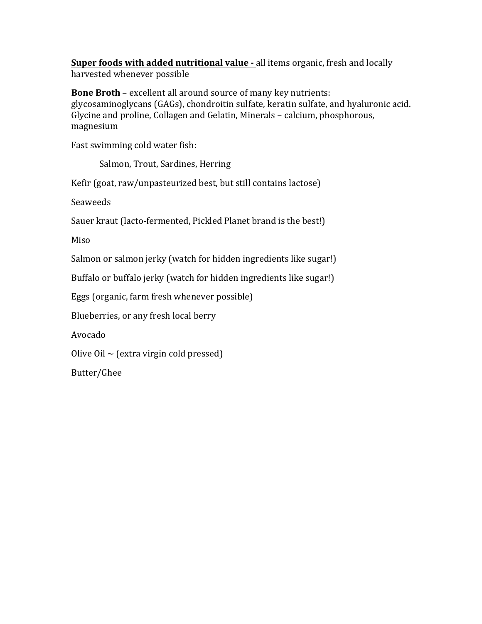**Super foods with added nutritional value -** all items organic, fresh and locally harvested whenever possible

**Bone Broth** – excellent all around source of many key nutrients: glycosaminoglycans (GAGs), chondroitin sulfate, keratin sulfate, and hyaluronic acid. Glycine and proline, Collagen and Gelatin, Minerals – calcium, phosphorous, magnesium

Fast swimming cold water fish:

Salmon, Trout, Sardines, Herring

Kefir (goat, raw/unpasteurized best, but still contains lactose)

Seaweeds 

Sauer kraut (lacto-fermented, Pickled Planet brand is the best!)

Miso

Salmon or salmon jerky (watch for hidden ingredients like sugar!)

Buffalo or buffalo jerky (watch for hidden ingredients like sugar!)

Eggs (organic, farm fresh whenever possible)

Blueberries, or any fresh local berry

Avocado

Olive Oil  $\sim$  (extra virgin cold pressed)

Butter/Ghee